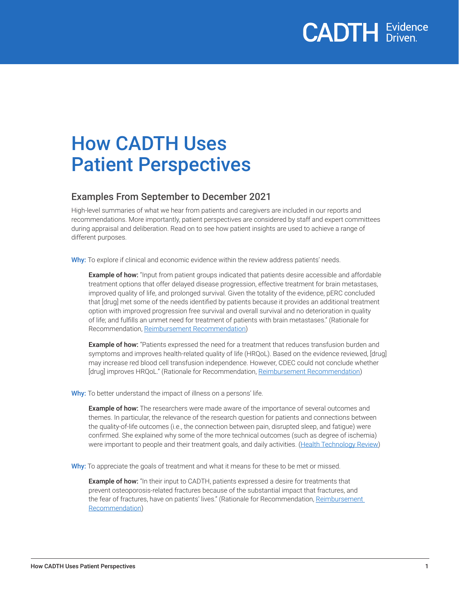

### How CADTH Uses Patient Perspectives

### Examples From September to December 2021

High-level summaries of what we hear from patients and caregivers are included in our reports and recommendations. More importantly, patient perspectives are considered by staff and expert committees during appraisal and deliberation. Read on to see how patient insights are used to achieve a range of different purposes.

Why: To explore if clinical and economic evidence within the review address patients' needs.

**Example of how:** "Input from patient groups indicated that patients desire accessible and affordable treatment options that offer delayed disease progression, effective treatment for brain metastases, improved quality of life, and prolonged survival. Given the totality of the evidence, pERC concluded that [drug] met some of the needs identified by patients because it provides an additional treatment option with improved progression free survival and overall survival and no deterioration in quality of life; and fulfills an unmet need for treatment of patients with brain metastases." (Rationale for Recommendation, [Reimbursement Recommendation\)](https://canjhealthtechnol.ca/index.php/cjht/article/view/pc0243)

**Example of how:** "Patients expressed the need for a treatment that reduces transfusion burden and symptoms and improves health-related quality of life (HRQoL). Based on the evidence reviewed, [drug] may increase red blood cell transfusion independence. However, CDEC could not conclude whether [drug] improves HRQoL." (Rationale for Recommendation, [Reimbursement Recommendation](https://canjhealthtechnol.ca/index.php/cjht/article/view/sr0670))

Why: To better understand the impact of illness on a persons' life.

**Example of how:** The researchers were made aware of the importance of several outcomes and themes. In particular, the relevance of the research question for patients and connections between the quality-of-life outcomes (i.e., the connection between pain, disrupted sleep, and fatigue) were confirmed. She explained why some of the more technical outcomes (such as degree of ischemia) were important to people and their treatment goals, and daily activities. ([Health Technology Review\)](https://canjhealthtechnol.ca/index.php/cjht/article/view/rd0061)

Why: To appreciate the goals of treatment and what it means for these to be met or missed.

**Example of how:** "In their input to CADTH, patients expressed a desire for treatments that prevent osteoporosis-related fractures because of the substantial impact that fractures, and the fear of fractures, have on patients' lives." (Rationale for Recommendation, Reimbursement [Recommendation](https://canjhealthtechnol.ca/index.php/cjht/article/view/sr0767))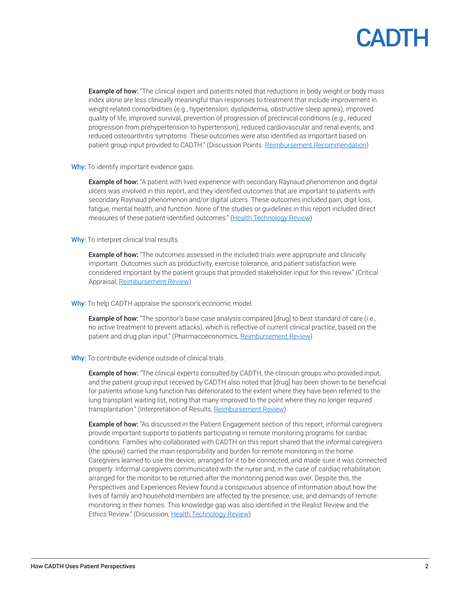

**Example of how:** "The clinical expert and patients noted that reductions in body weight or body mass index alone are less clinically meaningful than responses to treatment that include improvement in weight-related comorbidities (e.g., hypertension, dyslipidemia, obstructive sleep apnea), improved quality of life, improved survival, prevention of progression of preclinical conditions (e.g., reduced progression from prehypertension to hypertension), reduced cardiovascular and renal events, and reduced osteoarthritis symptoms. These outcomes were also identified as important based on patient group input provided to CADTH." (Discussion Points. [Reimbursement Recommendation](https://canjhealthtechnol.ca/index.php/cjht/article/view/sr0668))

Why: To identify important evidence gaps.

**Example of how:** "A patient with lived experience with secondary Raynaud phenomenon and digital ulcers was involved in this report, and they identified outcomes that are important to patients with secondary Raynaud phenomenon and/or digital ulcers. These outcomes included pain, digit loss, fatigue, mental health, and function. None of the studies or guidelines in this report included direct measures of these patient-identified outcomes." ([Health Technology Review\)](https://canjhealthtechnol.ca/index.php/cjht/article/view/rd0061)

Why: To interpret clinical trial results.

**Example of how:** "The outcomes assessed in the included trials were appropriate and clinically important. Outcomes such as productivity, exercise tolerance, and patient satisfaction were considered important by the patient groups that provided stakeholder input for this review." (Critical Appraisal, [Reimbursement Review](https://canjhealthtechnol.ca/index.php/cjht/article/view/sr0675r))

Why: To help CADTH appraise the sponsor's economic model.

**Example of how:** "The sponsor's base-case analysis compared [drug] to best standard of care (i.e., no active treatment to prevent attacks), which is reflective of current clinical practice, based on the patient and drug plan input." (Pharmacoeconomics, [Reimbursement Review](https://canjhealthtechnol.ca/index.php/cjht/article/view/sr0679r))

Why: To contribute evidence outside of clinical trials.

**Example of how:** "The clinical experts consulted by CADTH, the clinician groups who provided input, and the patient group input received by CADTH also noted that [drug] has been shown to be beneficial for patients whose lung function has deteriorated to the extent where they have been referred to the lung transplant waiting list, noting that many improved to the point where they no longer required transplantation." (Interpretation of Results, [Reimbursement Review\)](https://canjhealthtechnol.ca/index.php/cjht/article/view/sr0673r)

**Example of how:** "As discussed in the Patient Engagement section of this report, informal caregivers provide important supports to patients participating in remote monitoring programs for cardiac conditions. Families who collaborated with CADTH on this report shared that the informal caregivers (the spouse) carried the main responsibility and burden for remote monitoring in the home. Caregivers learned to use the device, arranged for it to be connected, and made sure it was connected properly. Informal caregivers communicated with the nurse and, in the case of cardiac rehabilitation, arranged for the monitor to be returned after the monitoring period was over. Despite this, the Perspectives and Experiences Review found a conspicuous absence of information about how the lives of family and household members are affected by the presence, use, and demands of remote monitoring in their homes. This knowledge gap was also identified in the Realist Review and the Ethics Review." (Discussion, [Health Technology Review\)](https://canjhealthtechnol.ca/index.php/cjht/article/view/op0549/370)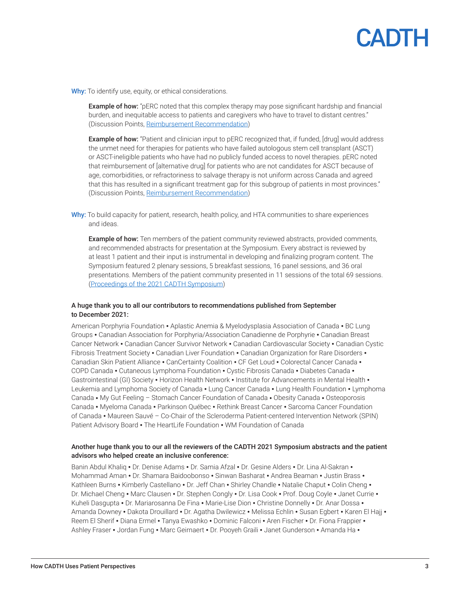# CADTH

Why: To identify use, equity, or ethical considerations.

**Example of how:** "pERC noted that this complex therapy may pose significant hardship and financial burden, and inequitable access to patients and caregivers who have to travel to distant centres." (Discussion Points, [Reimbursement Recommendation\)](https://canjhealthtechnol.ca/index.php/cjht/article/view/pg0240)

Example of how: "Patient and clinician input to pERC recognized that, if funded, [drug] would address the unmet need for therapies for patients who have failed autologous stem cell transplant (ASCT) or ASCT-ineligible patients who have had no publicly funded access to novel therapies. pERC noted that reimbursement of [alternative drug] for patients who are not candidates for ASCT because of age, comorbidities, or refractoriness to salvage therapy is not uniform across Canada and agreed that this has resulted in a significant treatment gap for this subgroup of patients in most provinces." (Discussion Points, [Reimbursement Recommendation\)](https://canjhealthtechnol.ca/index.php/cjht/article/view/pc0236)

Why: To build capacity for patient, research, health policy, and HTA communities to share experiences and ideas.

**Example of how:** Ten members of the patient community reviewed abstracts, provided comments, and recommended abstracts for presentation at the Symposium. Every abstract is reviewed by at least 1 patient and their input is instrumental in developing and finalizing program content. The Symposium featured 2 plenary sessions, 5 breakfast sessions, 16 panel sessions, and 36 oral presentations. Members of the patient community presented in 11 sessions of the total 69 sessions. [\(Proceedings of the 2021 CADTH Symposium](https://canjhealthtechnol.ca/index.php/cjht/issue/view/13/symp2021))

#### A huge thank you to all our contributors to recommendations published from September to December 2021:

American Porphyria Foundation • Aplastic Anemia & Myelodysplasia Association of Canada • BC Lung Groups • Canadian Association for Porphyria/Association Canadienne de Porphyrie • Canadian Breast Cancer Network • Canadian Cancer Survivor Network • Canadian Cardiovascular Society • Canadian Cystic Fibrosis Treatment Society • Canadian Liver Foundation • Canadian Organization for Rare Disorders • Canadian Skin Patient Alliance • CanCertainty Coalition • CF Get Loud • Colorectal Cancer Canada • COPD Canada • Cutaneous Lymphoma Foundation • Cystic Fibrosis Canada • Diabetes Canada • Gastrointestinal (GI) Society • Horizon Health Network • Institute for Advancements in Mental Health • Leukemia and Lymphoma Society of Canada • Lung Cancer Canada • Lung Health Foundation • Lymphoma Canada • My Gut Feeling – Stomach Cancer Foundation of Canada • Obesity Canada • Osteoporosis Canada • Myeloma Canada • Parkinson Québec • Rethink Breast Cancer • Sarcoma Cancer Foundation of Canada • Maureen Sauvé – Co-Chair of the Scleroderma Patient-centered Intervention Network (SPIN) Patient Advisory Board • The HeartLife Foundation • WM Foundation of Canada

#### Another huge thank you to our all the reviewers of the CADTH 2021 Symposium abstracts and the patient advisors who helped create an inclusive conference:

Banin Abdul Khaliq • Dr. Denise Adams • Dr. Samia Afzal • Dr. Gesine Alders • Dr. Lina Al-Sakran • Mohammad Aman • Dr. Shamara Baidoobonso • Sinwan Basharat • Andrea Beaman • Justin Brass • Kathleen Burns • Kimberly Castellano • Dr. Jeff Chan • Shirley Chandle • Natalie Chaput • Colin Cheng • Dr. Michael Cheng • Marc Clausen • Dr. Stephen Congly • Dr. Lisa Cook • Prof. Doug Coyle • Janet Currie • Kuheli Dasgupta • Dr. Mariarosanna De Fina • Marie-Lise Dion • Christine Donnelly • Dr. Anar Dossa • Amanda Downey • Dakota Drouillard • Dr. Agatha Dwilewicz • Melissa Echlin • Susan Egbert • Karen El Hajj • Reem El Sherif • Diana Ermel • Tanya Ewashko • Dominic Falconi • Aren Fischer • Dr. Fiona Frappier • Ashley Fraser • Jordan Fung • Marc Geirnaert • Dr. Pooyeh Graili • Janet Gunderson • Amanda Ha •